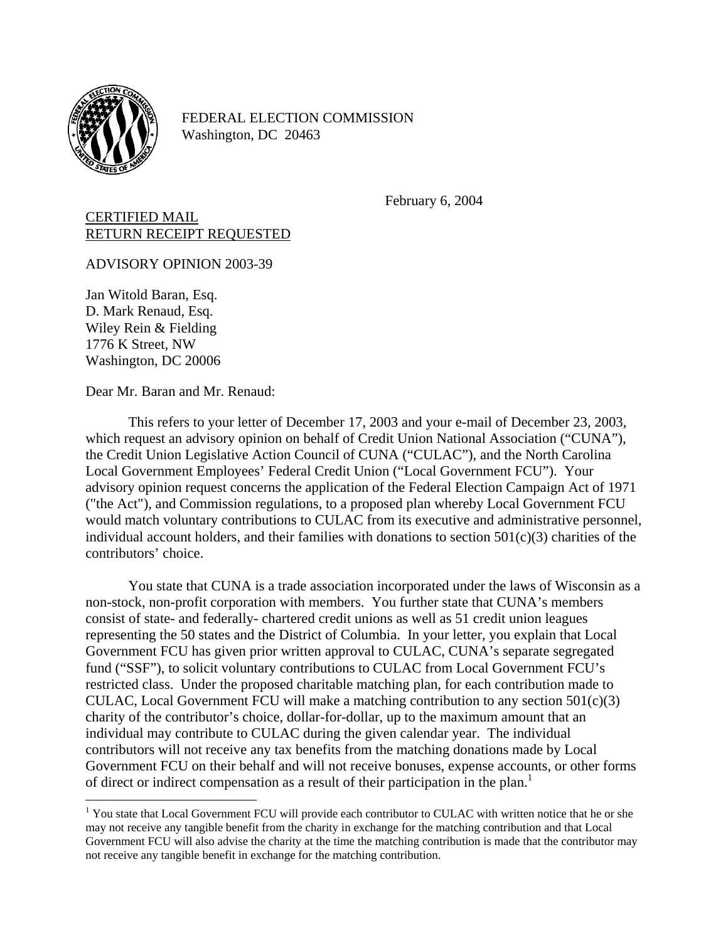

 $\overline{a}$ 

FEDERAL ELECTION COMMISSION Washington, DC 20463

February 6, 2004

CERTIFIED MAIL RETURN RECEIPT REQUESTED

ADVISORY OPINION 2003-39

Jan Witold Baran, Esq. D. Mark Renaud, Esq. Wiley Rein & Fielding 1776 K Street, NW Washington, DC 20006

Dear Mr. Baran and Mr. Renaud:

This refers to your letter of December 17, 2003 and your e-mail of December 23, 2003, which request an advisory opinion on behalf of Credit Union National Association ("CUNA"), the Credit Union Legislative Action Council of CUNA ("CULAC"), and the North Carolina Local Government Employees' Federal Credit Union ("Local Government FCU"). Your advisory opinion request concerns the application of the Federal Election Campaign Act of 1971 ("the Act"), and Commission regulations, to a proposed plan whereby Local Government FCU would match voluntary contributions to CULAC from its executive and administrative personnel, individual account holders, and their families with donations to section  $501(c)(3)$  charities of the contributors' choice.

You state that CUNA is a trade association incorporated under the laws of Wisconsin as a non-stock, non-profit corporation with members. You further state that CUNA's members consist of state- and federally- chartered credit unions as well as 51 credit union leagues representing the 50 states and the District of Columbia. In your letter, you explain that Local Government FCU has given prior written approval to CULAC, CUNA's separate segregated fund ("SSF"), to solicit voluntary contributions to CULAC from Local Government FCU's restricted class. Under the proposed charitable matching plan, for each contribution made to CULAC, Local Government FCU will make a matching contribution to any section  $501(c)(3)$ charity of the contributor's choice, dollar-for-dollar, up to the maximum amount that an individual may contribute to CULAC during the given calendar year. The individual contributors will not receive any tax benefits from the matching donations made by Local Government FCU on their behalf and will not receive bonuses, expense accounts, or other forms of direct or indirect compensation as a result of their participation in the plan.<sup>[1](#page-0-0)</sup>

<span id="page-0-0"></span><sup>&</sup>lt;sup>1</sup> You state that Local Government FCU will provide each contributor to CULAC with written notice that he or she may not receive any tangible benefit from the charity in exchange for the matching contribution and that Local Government FCU will also advise the charity at the time the matching contribution is made that the contributor may not receive any tangible benefit in exchange for the matching contribution.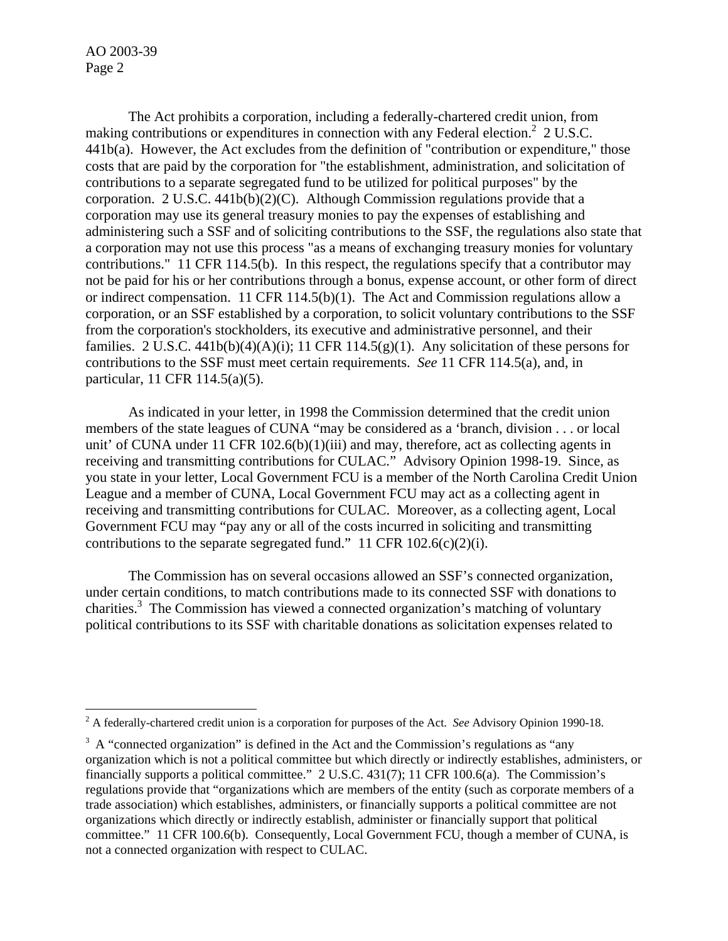AO 2003-39 Page 2

 $\overline{a}$ 

 The Act prohibits a corporation, including a federally-chartered credit union, from making contributions or expenditures in connection with any Federal election.<sup>2</sup> 2 U.S.C. 441b(a). However, the Act excludes from the definition of "contribution or expenditure," those costs that are paid by the corporation for "the establishment, administration, and solicitation of contributions to a separate segregated fund to be utilized for political purposes" by the corporation. 2 U.S.C.  $441b(b)(2)(C)$ . Although Commission regulations provide that a corporation may use its general treasury monies to pay the expenses of establishing and administering such a SSF and of soliciting contributions to the SSF, the regulations also state that a corporation may not use this process "as a means of exchanging treasury monies for voluntary contributions." 11 CFR 114.5(b). In this respect, the regulations specify that a contributor may not be paid for his or her contributions through a bonus, expense account, or other form of direct or indirect compensation. 11 CFR 114.5(b)(1). The Act and Commission regulations allow a corporation, or an SSF established by a corporation, to solicit voluntary contributions to the SSF from the corporation's stockholders, its executive and administrative personnel, and their families. 2 U.S.C. 441b(b)(4)(A)(i); 11 CFR 114.5(g)(1). Any solicitation of these persons for contributions to the SSF must meet certain requirements. *See* 11 CFR 114.5(a), and, in particular, 11 CFR 114.5(a)(5).

As indicated in your letter, in 1998 the Commission determined that the credit union members of the state leagues of CUNA "may be considered as a 'branch, division . . . or local unit' of CUNA under 11 CFR 102.6(b)(1)(iii) and may, therefore, act as collecting agents in receiving and transmitting contributions for CULAC." Advisory Opinion 1998-19. Since, as you state in your letter, Local Government FCU is a member of the North Carolina Credit Union League and a member of CUNA, Local Government FCU may act as a collecting agent in receiving and transmitting contributions for CULAC. Moreover, as a collecting agent, Local Government FCU may "pay any or all of the costs incurred in soliciting and transmitting contributions to the separate segregated fund." 11 CFR 102.6(c)(2)(i).

The Commission has on several occasions allowed an SSF's connected organization, under certain conditions, to match contributions made to its connected SSF with donations to charities.<sup>[3](#page-1-1)</sup> The Commission has viewed a connected organization's matching of voluntary political contributions to its SSF with charitable donations as solicitation expenses related to

<span id="page-1-0"></span><sup>2</sup> A federally-chartered credit union is a corporation for purposes of the Act. *See* Advisory Opinion 1990-18.

<span id="page-1-1"></span> $3 \text{ A}$  "connected organization" is defined in the Act and the Commission's regulations as "any organization which is not a political committee but which directly or indirectly establishes, administers, or financially supports a political committee." 2 U.S.C. 431(7); 11 CFR 100.6(a). The Commission's regulations provide that "organizations which are members of the entity (such as corporate members of a trade association) which establishes, administers, or financially supports a political committee are not organizations which directly or indirectly establish, administer or financially support that political committee." 11 CFR 100.6(b). Consequently, Local Government FCU, though a member of CUNA, is not a connected organization with respect to CULAC.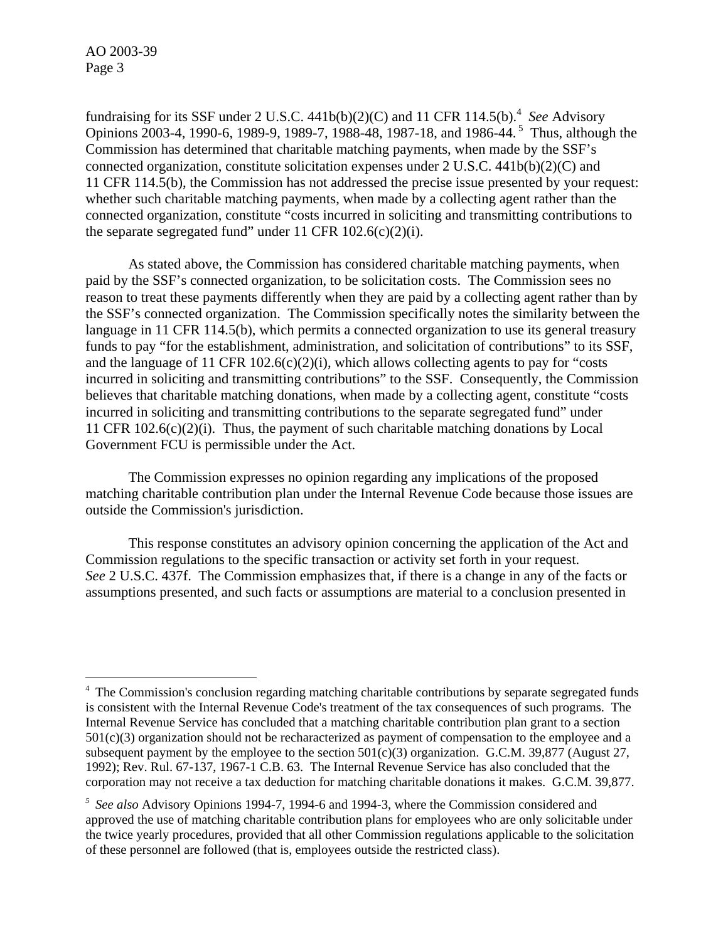AO 2003-39 Page 3

<u>.</u>

fundraising for its SSF under 2 U.S.C.  $441b(b)(2)(C)$  and 11 CFR 114.5(b).<sup>4</sup> See Advisory Opinions 2003-4, 1990-6, 1989-9, 1989-7, 1988-48, 1987-18, and 1986-44. [5](#page-2-1) Thus, although the Commission has determined that charitable matching payments, when made by the SSF's connected organization, constitute solicitation expenses under 2 U.S.C. 441b(b)(2)(C) and 11 CFR 114.5(b), the Commission has not addressed the precise issue presented by your request: whether such charitable matching payments, when made by a collecting agent rather than the connected organization, constitute "costs incurred in soliciting and transmitting contributions to the separate segregated fund" under 11 CFR  $102.6(c)(2)(i)$ .

As stated above, the Commission has considered charitable matching payments, when paid by the SSF's connected organization, to be solicitation costs. The Commission sees no reason to treat these payments differently when they are paid by a collecting agent rather than by the SSF's connected organization. The Commission specifically notes the similarity between the language in 11 CFR 114.5(b), which permits a connected organization to use its general treasury funds to pay "for the establishment, administration, and solicitation of contributions" to its SSF, and the language of 11 CFR 102.6(c)(2)(i), which allows collecting agents to pay for "costs incurred in soliciting and transmitting contributions" to the SSF. Consequently, the Commission believes that charitable matching donations, when made by a collecting agent, constitute "costs incurred in soliciting and transmitting contributions to the separate segregated fund" under 11 CFR  $102.6(c)(2)(i)$ . Thus, the payment of such charitable matching donations by Local Government FCU is permissible under the Act.

The Commission expresses no opinion regarding any implications of the proposed matching charitable contribution plan under the Internal Revenue Code because those issues are outside the Commission's jurisdiction.

This response constitutes an advisory opinion concerning the application of the Act and Commission regulations to the specific transaction or activity set forth in your request. *See* 2 U.S.C. 437f. The Commission emphasizes that, if there is a change in any of the facts or assumptions presented, and such facts or assumptions are material to a conclusion presented in

<span id="page-2-0"></span><sup>&</sup>lt;sup>4</sup> The Commission's conclusion regarding matching charitable contributions by separate segregated funds is consistent with the Internal Revenue Code's treatment of the tax consequences of such programs. The Internal Revenue Service has concluded that a matching charitable contribution plan grant to a section 501(c)(3) organization should not be recharacterized as payment of compensation to the employee and a subsequent payment by the employee to the section  $501(c)(3)$  organization. G.C.M. 39,877 (August 27, 1992); Rev. Rul. 67-137, 1967-1 C.B. 63. The Internal Revenue Service has also concluded that the corporation may not receive a tax deduction for matching charitable donations it makes. G.C.M. 39,877.

<span id="page-2-1"></span>*<sup>5</sup> See also* Advisory Opinions 1994-7, 1994-6 and 1994-3, where the Commission considered and approved the use of matching charitable contribution plans for employees who are only solicitable under the twice yearly procedures, provided that all other Commission regulations applicable to the solicitation of these personnel are followed (that is, employees outside the restricted class).